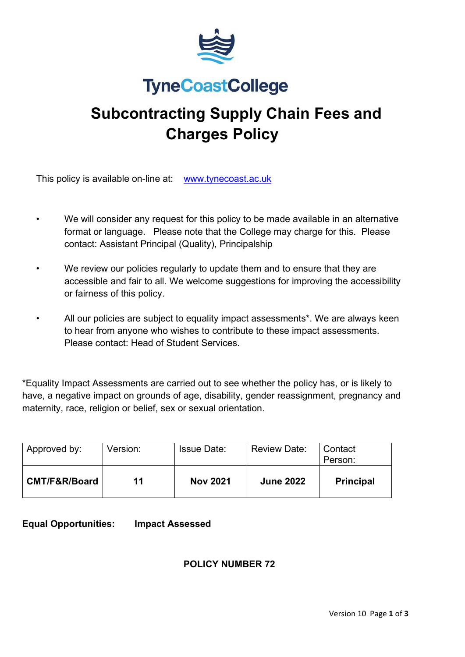

# **TyneCoastCollege**

# **Subcontracting Supply Chain Fees and Charges Policy**

This policy is available on-line at: [www.tynecoast.ac.uk](http://www.tynecoast.ac.uk/)

- We will consider any request for this policy to be made available in an alternative format or language. Please note that the College may charge for this. Please contact: Assistant Principal (Quality), Principalship
- We review our policies regularly to update them and to ensure that they are accessible and fair to all. We welcome suggestions for improving the accessibility or fairness of this policy.
- All our policies are subject to equality impact assessments\*. We are always keen to hear from anyone who wishes to contribute to these impact assessments. Please contact: Head of Student Services.

\*Equality Impact Assessments are carried out to see whether the policy has, or is likely to have, a negative impact on grounds of age, disability, gender reassignment, pregnancy and maternity, race, religion or belief, sex or sexual orientation.

| Approved by:  | Version: | <b>Issue Date:</b> | <b>Review Date:</b> | Contact<br>Person: |
|---------------|----------|--------------------|---------------------|--------------------|
| CMT/F&R/Board | 11       | <b>Nov 2021</b>    | <b>June 2022</b>    | <b>Principal</b>   |

**Equal Opportunities: Impact Assessed**

# **POLICY NUMBER 72**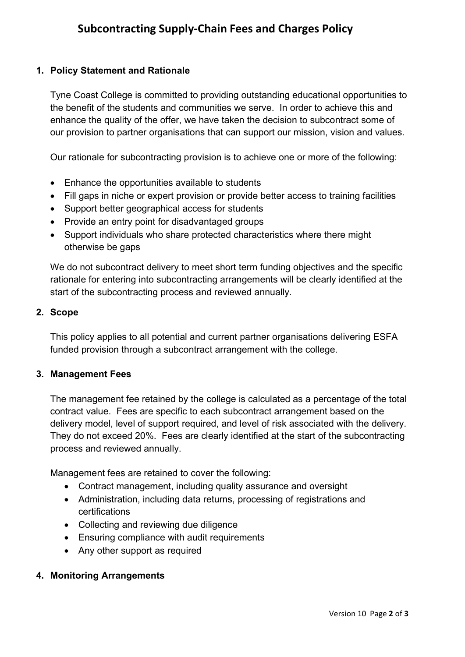### **1. Policy Statement and Rationale**

Tyne Coast College is committed to providing outstanding educational opportunities to the benefit of the students and communities we serve. In order to achieve this and enhance the quality of the offer, we have taken the decision to subcontract some of our provision to partner organisations that can support our mission, vision and values.

Our rationale for subcontracting provision is to achieve one or more of the following:

- Enhance the opportunities available to students
- Fill gaps in niche or expert provision or provide better access to training facilities
- Support better geographical access for students
- Provide an entry point for disadvantaged groups
- Support individuals who share protected characteristics where there might otherwise be gaps

We do not subcontract delivery to meet short term funding objectives and the specific rationale for entering into subcontracting arrangements will be clearly identified at the start of the subcontracting process and reviewed annually.

#### **2. Scope**

This policy applies to all potential and current partner organisations delivering ESFA funded provision through a subcontract arrangement with the college.

#### **3. Management Fees**

The management fee retained by the college is calculated as a percentage of the total contract value. Fees are specific to each subcontract arrangement based on the delivery model, level of support required, and level of risk associated with the delivery. They do not exceed 20%. Fees are clearly identified at the start of the subcontracting process and reviewed annually.

Management fees are retained to cover the following:

- Contract management, including quality assurance and oversight
- Administration, including data returns, processing of registrations and certifications
- Collecting and reviewing due diligence
- Ensuring compliance with audit requirements
- Any other support as required

#### **4. Monitoring Arrangements**